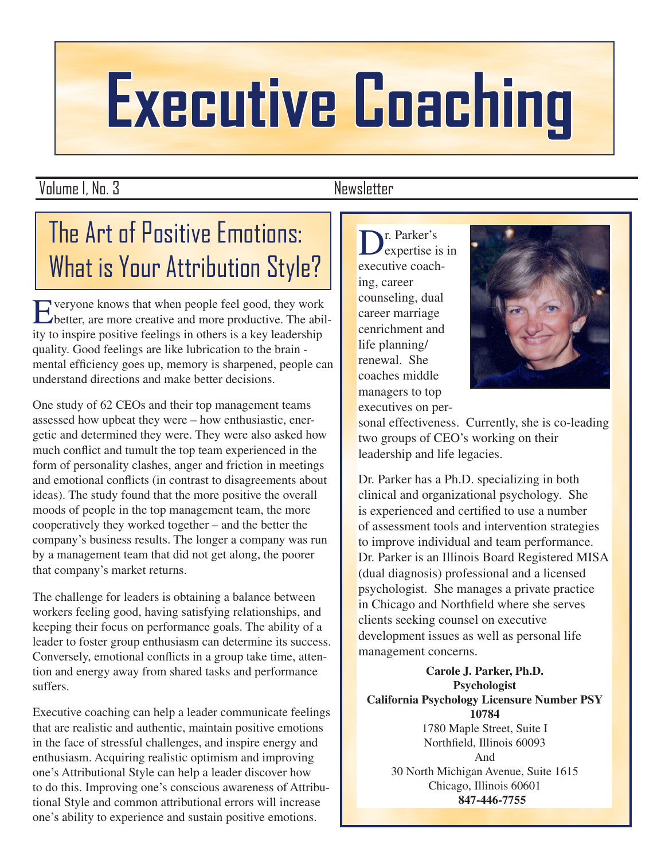# **Executive Coaching**

Volume I, No. 3 Newsletter

# The Art of Positive Emotions: What is Your Attribution Style?

Everyone knows that when people feel good, they work<br>better, are more creative and more productive. The abil-<br>ity to inspire positive feelings in others is a key loadership ity to inspire positive feelings in others is a key leadership quality. Good feelings are like lubrication to the brain mental efficiency goes up, memory is sharpened, people can understand directions and make better decisions.

One study of 62 CEOs and their top management teams assessed how upbeat they were – how enthusiastic, energetic and determined they were. They were also asked how much conflict and tumult the top team experienced in the form of personality clashes, anger and friction in meetings and emotional conflicts (in contrast to disagreements about ideas). The study found that the more positive the overall moods of people in the top management team, the more cooperatively they worked together – and the better the company's business results. The longer a company was run by a management team that did not get along, the poorer that company's market returns.

The challenge for leaders is obtaining a balance between workers feeling good, having satisfying relationships, and keeping their focus on performance goals. The ability of a leader to foster group enthusiasm can determine its success. Conversely, emotional conflicts in a group take time, attention and energy away from shared tasks and performance suffers.

Executive coaching can help a leader communicate feelings that are realistic and authentic, maintain positive emotions in the face of stressful challenges, and inspire energy and enthusiasm. Acquiring realistic optimism and improving one's Attributional Style can help a leader discover how to do this. Improving one's conscious awareness of Attributional Style and common attributional errors will increase one's ability to experience and sustain positive emotions.

Dr. Parker's<br>expertise is in<br>executive coach executive coaching, career counseling, dual career marriage cenrichment and life planning/ renewal. She coaches middle managers to top executives on per-



sonal effectiveness. Currently, she is co-leading two groups of CEO's working on their leadership and life legacies.

Dr. Parker has a Ph.D. specializing in both clinical and organizational psychology. She is experienced and certified to use a number of assessment tools and intervention strategies to improve individual and team performance. Dr. Parker is an Illinois Board Registered MISA (dual diagnosis) professional and a licensed psychologist. She manages a private practice in Chicago and Northfield where she serves clients seeking counsel on executive development issues as well as personal life management concerns.

**Carole J. Parker, Ph.D. Psychologist California Psychology Licensure Number PSY 10784** 1780 Maple Street, Suite I Northfield, Illinois 60093 And 30 North Michigan Avenue, Suite 1615 Chicago, Illinois 60601  **847-446-7755**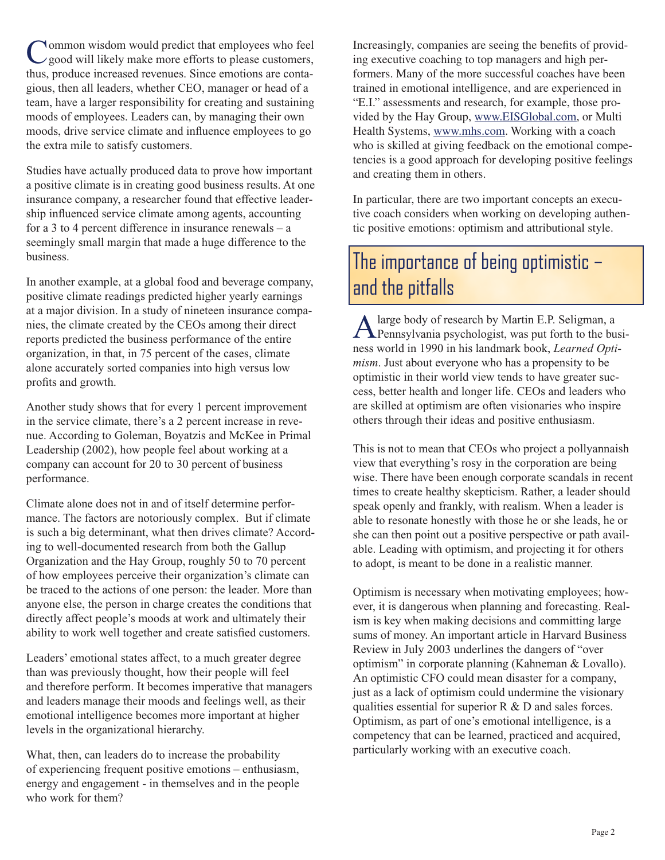Common wisdom would predict that employees who feel good will likely make more efforts to please customers, thus produce increased revenues. Since emotions are contathus, produce increased revenues. Since emotions are contagious, then all leaders, whether CEO, manager or head of a team, have a larger responsibility for creating and sustaining moods of employees. Leaders can, by managing their own moods, drive service climate and influence employees to go the extra mile to satisfy customers.

Studies have actually produced data to prove how important a positive climate is in creating good business results. At one insurance company, a researcher found that effective leadership influenced service climate among agents, accounting for a 3 to 4 percent difference in insurance renewals –  $a$ seemingly small margin that made a huge difference to the business.

In another example, at a global food and beverage company, positive climate readings predicted higher yearly earnings at a major division. In a study of nineteen insurance companies, the climate created by the CEOs among their direct reports predicted the business performance of the entire organization, in that, in 75 percent of the cases, climate alone accurately sorted companies into high versus low profits and growth.

Another study shows that for every 1 percent improvement in the service climate, there's a 2 percent increase in revenue. According to Goleman, Boyatzis and McKee in Primal Leadership (2002), how people feel about working at a company can account for 20 to 30 percent of business performance.

Climate alone does not in and of itself determine performance. The factors are notoriously complex. But if climate is such a big determinant, what then drives climate? According to well-documented research from both the Gallup Organization and the Hay Group, roughly 50 to 70 percent of how employees perceive their organization's climate can be traced to the actions of one person: the leader. More than anyone else, the person in charge creates the conditions that directly affect people's moods at work and ultimately their ability to work well together and create satisfied customers.

Leaders' emotional states affect, to a much greater degree than was previously thought, how their people will feel and therefore perform. It becomes imperative that managers and leaders manage their moods and feelings well, as their emotional intelligence becomes more important at higher levels in the organizational hierarchy.

What, then, can leaders do to increase the probability of experiencing frequent positive emotions – enthusiasm, energy and engagement - in themselves and in the people who work for them?

Increasingly, companies are seeing the benefits of providing executive coaching to top managers and high performers. Many of the more successful coaches have been trained in emotional intelligence, and are experienced in "E.I." assessments and research, for example, those provided by the Hay Group, www.EISGlobal.com, or Multi Health Systems, www.mhs.com. Working with a coach who is skilled at giving feedback on the emotional competencies is a good approach for developing positive feelings and creating them in others.

In particular, there are two important concepts an executive coach considers when working on developing authentic positive emotions: optimism and attributional style.

### The importance of being optimistic – and the pitfalls

A large body of research by Martin E.P. Seligman, a<br>Pennsylvania psychologist, was put forth to the busi-<br>ness world in 1990 in his landmark book *Learned Onti*ness world in 1990 in his landmark book, *Learned Optimism*. Just about everyone who has a propensity to be optimistic in their world view tends to have greater success, better health and longer life. CEOs and leaders who are skilled at optimism are often visionaries who inspire others through their ideas and positive enthusiasm.

This is not to mean that CEOs who project a pollyannaish view that everything's rosy in the corporation are being wise. There have been enough corporate scandals in recent times to create healthy skepticism. Rather, a leader should speak openly and frankly, with realism. When a leader is able to resonate honestly with those he or she leads, he or she can then point out a positive perspective or path available. Leading with optimism, and projecting it for others to adopt, is meant to be done in a realistic manner.

Optimism is necessary when motivating employees; however, it is dangerous when planning and forecasting. Realism is key when making decisions and committing large sums of money. An important article in Harvard Business Review in July 2003 underlines the dangers of "over optimism" in corporate planning (Kahneman & Lovallo). An optimistic CFO could mean disaster for a company, just as a lack of optimism could undermine the visionary qualities essential for superior R & D and sales forces. Optimism, as part of one's emotional intelligence, is a competency that can be learned, practiced and acquired, particularly working with an executive coach.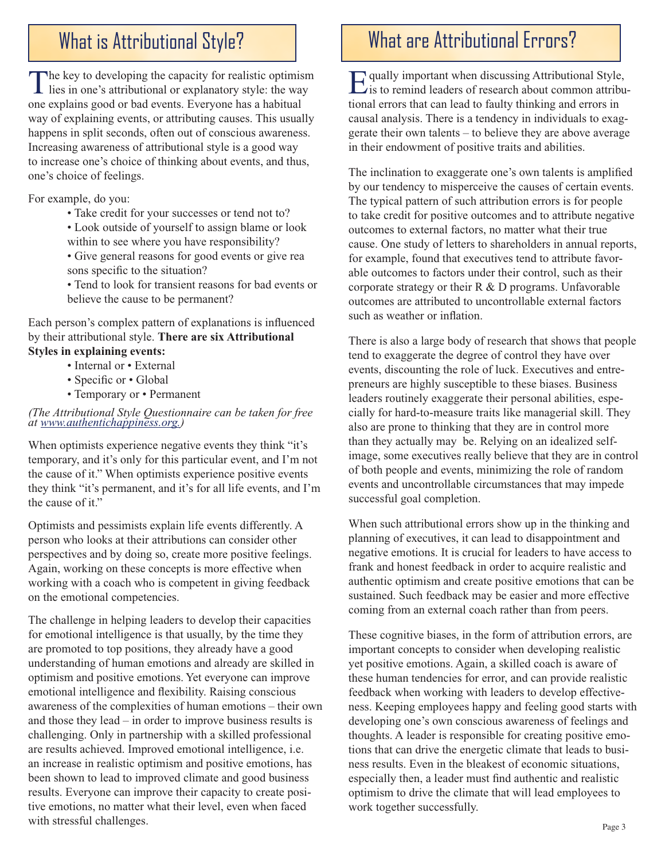The key to developing the capacity for realistic optimism<br>lies in one's attributional or explanatory style: the way  $\mathsf{L}$  lies in one's attributional or explanatory style: the way one explains good or bad events. Everyone has a habitual way of explaining events, or attributing causes. This usually happens in split seconds, often out of conscious awareness. Increasing awareness of attributional style is a good way to increase one's choice of thinking about events, and thus, one's choice of feelings.

For example, do you:

- Take credit for your successes or tend not to?
- Look outside of yourself to assign blame or look within to see where you have responsibility?
- Give general reasons for good events or give rea sons specific to the situation?
- Tend to look for transient reasons for bad events or believe the cause to be permanent?

Each person's complex pattern of explanations is influenced by their attributional style. **There are six Attributional Styles in explaining events:**

- Internal or External
	- Specific or Global
	- Temporary or Permanent

### *(The Attributional Style Questionnaire can be taken for free at www.authentichappiness.org.)*

When optimists experience negative events they think "it's temporary, and it's only for this particular event, and I'm not the cause of it." When optimists experience positive events they think "it's permanent, and it's for all life events, and I'm the cause of it."

Optimists and pessimists explain life events differently. A person who looks at their attributions can consider other perspectives and by doing so, create more positive feelings. Again, working on these concepts is more effective when working with a coach who is competent in giving feedback on the emotional competencies.

The challenge in helping leaders to develop their capacities for emotional intelligence is that usually, by the time they are promoted to top positions, they already have a good understanding of human emotions and already are skilled in optimism and positive emotions. Yet everyone can improve emotional intelligence and flexibility. Raising conscious awareness of the complexities of human emotions – their own and those they lead – in order to improve business results is challenging. Only in partnership with a skilled professional are results achieved. Improved emotional intelligence, i.e. an increase in realistic optimism and positive emotions, has been shown to lead to improved climate and good business results. Everyone can improve their capacity to create positive emotions, no matter what their level, even when faced with stressful challenges.

## What is Attributional Style? | | | | What are Attributional Errors?

**Equally important when discussing Attributional Style,**  $\mathcal{L}_{i}$  is to remind leaders of research about common attributional errors that can lead to faulty thinking and errors in causal analysis. There is a tendency in individuals to exaggerate their own talents – to believe they are above average in their endowment of positive traits and abilities.

The inclination to exaggerate one's own talents is amplified by our tendency to misperceive the causes of certain events. The typical pattern of such attribution errors is for people to take credit for positive outcomes and to attribute negative outcomes to external factors, no matter what their true cause. One study of letters to shareholders in annual reports, for example, found that executives tend to attribute favorable outcomes to factors under their control, such as their corporate strategy or their R & D programs. Unfavorable outcomes are attributed to uncontrollable external factors such as weather or inflation.

There is also a large body of research that shows that people tend to exaggerate the degree of control they have over events, discounting the role of luck. Executives and entrepreneurs are highly susceptible to these biases. Business leaders routinely exaggerate their personal abilities, especially for hard-to-measure traits like managerial skill. They also are prone to thinking that they are in control more than they actually may be. Relying on an idealized selfimage, some executives really believe that they are in control of both people and events, minimizing the role of random events and uncontrollable circumstances that may impede successful goal completion.

When such attributional errors show up in the thinking and planning of executives, it can lead to disappointment and negative emotions. It is crucial for leaders to have access to frank and honest feedback in order to acquire realistic and authentic optimism and create positive emotions that can be sustained. Such feedback may be easier and more effective coming from an external coach rather than from peers.

These cognitive biases, in the form of attribution errors, are important concepts to consider when developing realistic yet positive emotions. Again, a skilled coach is aware of these human tendencies for error, and can provide realistic feedback when working with leaders to develop effectiveness. Keeping employees happy and feeling good starts with developing one's own conscious awareness of feelings and thoughts. A leader is responsible for creating positive emotions that can drive the energetic climate that leads to business results. Even in the bleakest of economic situations, especially then, a leader must find authentic and realistic optimism to drive the climate that will lead employees to work together successfully.